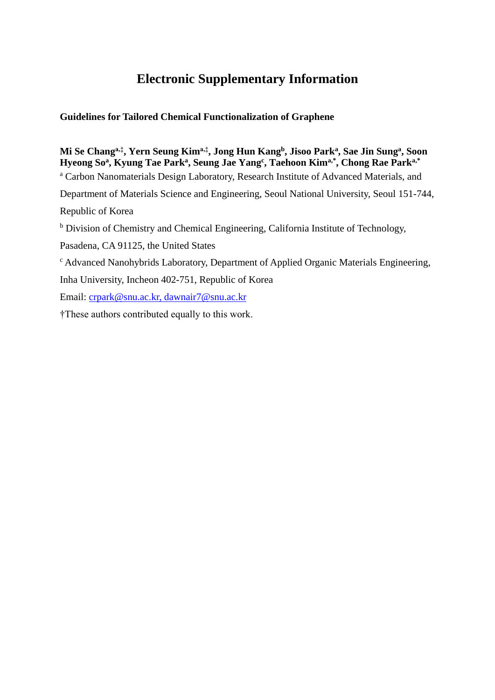## **Electronic Supplementary Information**

## **Guidelines for Tailored Chemical Functionalization of Graphene**

## **Mi Se Changa,‡, Yern Seung Kima,‡, Jong Hun Kang<sup>b</sup> , Jisoo Park<sup>a</sup> , Sae Jin Sung<sup>a</sup> , Soon Hyeong So<sup>a</sup> , Kyung Tae Park<sup>a</sup> , Seung Jae Yang<sup>c</sup> , Taehoon Kima,\*, Chong Rae Parka,\*** <sup>a</sup> Carbon Nanomaterials Design Laboratory, Research Institute of Advanced Materials, and Department of Materials Science and Engineering, Seoul National University, Seoul 151-744,

Republic of Korea

<sup>b</sup> Division of Chemistry and Chemical Engineering, California Institute of Technology,

Pasadena, CA 91125, the United States

<sup>c</sup> Advanced Nanohybrids Laboratory, Department of Applied Organic Materials Engineering,

Inha University, Incheon 402-751, Republic of Korea

Email: [crpark@snu.ac.kr,](mailto:crpark@snu.ac.kr) dawnair7@snu.ac.kr

†These authors contributed equally to this work.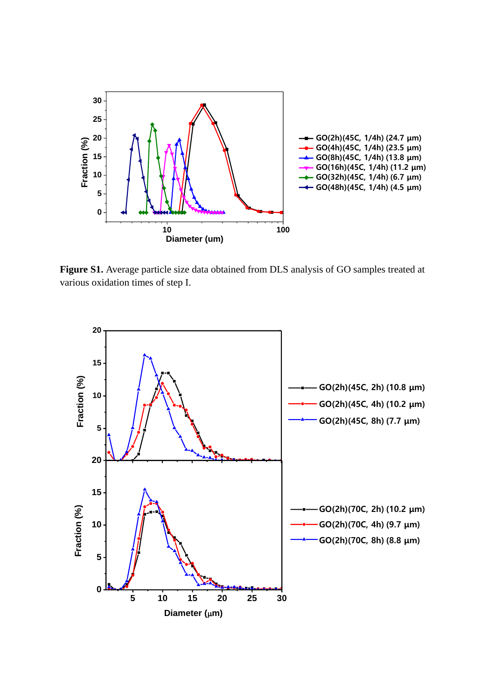

**Figure S1.** Average particle size data obtained from DLS analysis of GO samples treated at various oxidation times of step I.

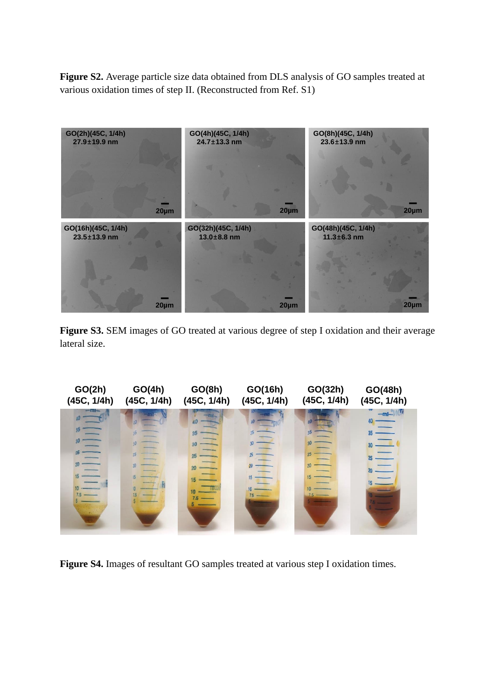**Figure S2.** Average particle size data obtained from DLS analysis of GO samples treated at various oxidation times of step II. (Reconstructed from Ref. S1)



Figure S3. SEM images of GO treated at various degree of step I oxidation and their average lateral size.



**Figure S4.** Images of resultant GO samples treated at various step I oxidation times.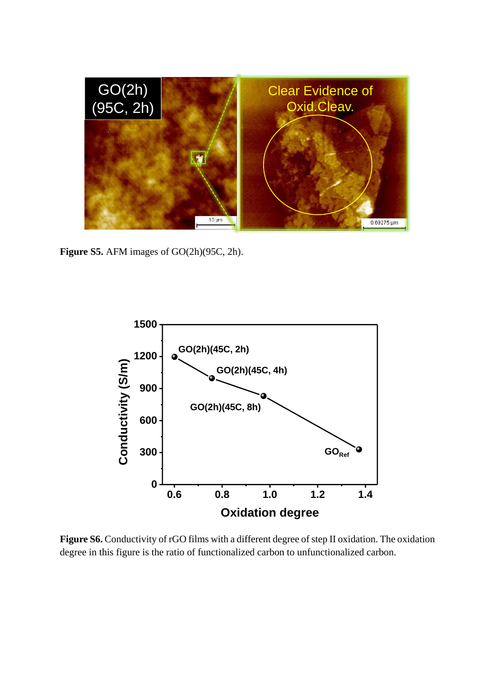

**Figure S5.** AFM images of GO(2h)(95C, 2h).



Figure S6. Conductivity of rGO films with a different degree of step II oxidation. The oxidation degree in this figure is the ratio of functionalized carbon to unfunctionalized carbon.